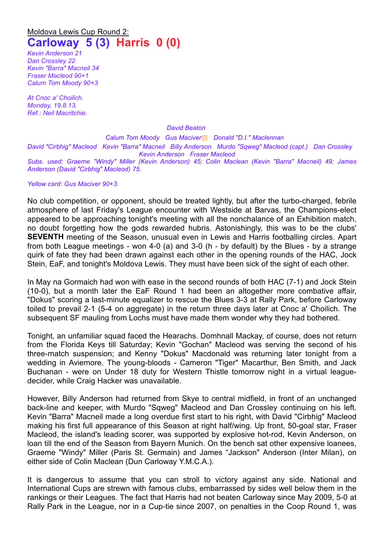## Moldova Lewis Cup Round 2: **Carloway 5 (3) Harris 0 (0)**

*Kevin Anderson 21 Dan Crossley 22 Kevin "Barra" Macneil 34 Fraser Macleod 90+1 Calum Tom Moody 90+3*

*At Cnoc a' Choilich. Monday, 19.8.13. Ref.: Neil Macritchie.*

*David Beaton*

*Calum Tom Moody Gus Maciver*▩ *Donald "D.I." Maclennan David "Cirbhig" Macleod Kevin "Barra" Macneil Billy Anderson Murdo "Sqweg" Macleod (capt.) Dan Crossley Kevin Anderson Fraser Macleod Subs. used: Graeme "Windy" Miller (Kevin Anderson) 45; Colin Maclean (Kevin "Barra" Macneil) 49; James Anderson (David "Cirbhig" Macleod) 75.*

*Yellow card: Gus Maciver 90+3.*

No club competition, or opponent, should be treated lightly, but after the turbo-charged, febrile atmosphere of last Friday's League encounter with Westside at Barvas, the Champions-elect appeared to be approaching tonight's meeting with all the nonchalance of an Exhibition match, no doubt forgetting how the gods rewarded hubris. Astonishingly, this was to be the clubs' **SEVENTH** meeting of the Season, unusual even in Lewis and Harris footballing circles. Apart from both League meetings - won 4-0 (a) and 3-0 (h - by default) by the Blues - by a strange quirk of fate they had been drawn against each other in the opening rounds of the HAC, Jock Stein, EaF, and tonight's Moldova Lewis. They must have been sick of the sight of each other.

In May na Gormaich had won with ease in the second rounds of both HAC (7-1) and Jock Stein (10-0), but a month later the EaF Round 1 had been an altogether more combative affair, "Dokus" scoring a last-minute equalizer to rescue the Blues 3-3 at Rally Park, before Carloway toiled to prevail 2-1 (5-4 on aggregate) in the return three days later at Cnoc a' Choilich. The subsequent SF mauling from Lochs must have made them wonder why they had bothered.

Tonight, an unfamiliar squad faced the Hearachs. Domhnall Mackay, of course, does not return from the Florida Keys till Saturday; Kevin "Gochan" Macleod was serving the second of his three-match suspension; and Kenny "Dokus" Macdonald was returning later tonight from a wedding in Aviemore. The young-bloods - Cameron "Tiger" Macarthur, Ben Smith, and Jack Buchanan - were on Under 18 duty for Western Thistle tomorrow night in a virtual leaguedecider, while Craig Hacker was unavailable.

However, Billy Anderson had returned from Skye to central midfield, in front of an unchanged back-line and keeper, with Murdo "Sqweg" Macleod and Dan Crossley continuing on his left. Kevin "Barra" Macneil made a long overdue first start to his right, with David "Cirbhig" Macleod making his first full appearance of this Season at right half/wing. Up front, 50-goal star, Fraser Macleod, the island's leading scorer, was supported by explosive hot-rod, Kevin Anderson, on loan till the end of the Season from Bayern Munich. On the bench sat other expensive loanees, Graeme "Windy" Miller (Paris St. Germain) and James "Jackson" Anderson (Inter Milan), on either side of Colin Maclean (Dun Carloway Y.M.C.A.).

It is dangerous to assume that you can stroll to victory against any side. National and International Cups are strewn with famous clubs, embarrassed by sides well below them in the rankings or their Leagues. The fact that Harris had not beaten Carloway since May 2009, 5-0 at Rally Park in the League, nor in a Cup-tie since 2007, on penalties in the Coop Round 1, was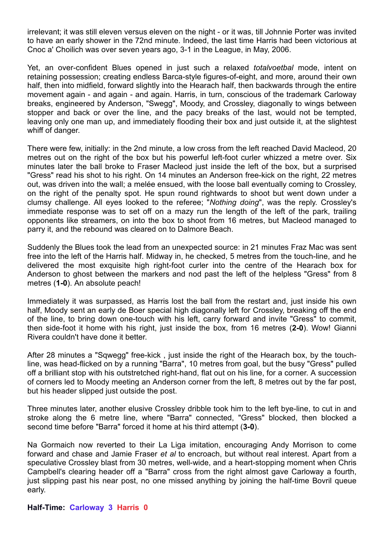irrelevant; it was still eleven versus eleven on the night - or it was, till Johnnie Porter was invited to have an early shower in the 72nd minute. Indeed, the last time Harris had been victorious at Cnoc a' Choilich was over seven years ago, 3-1 in the League, in May, 2006.

Yet, an over-confident Blues opened in just such a relaxed *totalvoetbal* mode, intent on retaining possession; creating endless Barca-style figures-of-eight, and more, around their own half, then into midfield, forward slightly into the Hearach half, then backwards through the entire movement again - and again - and again. Harris, in turn, conscious of the trademark Carloway breaks, engineered by Anderson, "Swegg", Moody, and Crossley, diagonally to wings between stopper and back or over the line, and the pacy breaks of the last, would not be tempted, leaving only one man up, and immediately flooding their box and just outside it, at the slightest whiff of danger.

There were few, initially: in the 2nd minute, a low cross from the left reached David Macleod, 20 metres out on the right of the box but his powerful left-foot curler whizzed a metre over. Six minutes later the ball broke to Fraser Macleod just inside the left of the box, but a surprised "Gress" read his shot to his right. On 14 minutes an Anderson free-kick on the right, 22 metres out, was driven into the wall; a melée ensued, with the loose ball eventually coming to Crossley, on the right of the penalty spot. He spun round rightwards to shoot but went down under a clumsy challenge. All eyes looked to the referee; "*Nothing doing*", was the reply. Crossley's immediate response was to set off on a mazy run the length of the left of the park, trailing opponents like streamers, on into the box to shoot from 16 metres, but Macleod managed to parry it, and the rebound was cleared on to Dalmore Beach.

Suddenly the Blues took the lead from an unexpected source: in 21 minutes Fraz Mac was sent free into the left of the Harris half. Midway in, he checked, 5 metres from the touch-line, and he delivered the most exquisite high right-foot curler into the centre of the Hearach box for Anderson to ghost between the markers and nod past the left of the helpless "Gress" from 8 metres (**1-0**). An absolute peach!

Immediately it was surpassed, as Harris lost the ball from the restart and, just inside his own half, Moody sent an early de Boer special high diagonally left for Crossley, breaking off the end of the line, to bring down one-touch with his left, carry forward and invite "Gress" to commit, then side-foot it home with his right, just inside the box, from 16 metres (**2-0**). Wow! Gianni Rivera couldn't have done it better.

After 28 minutes a "Sqwegg" free-kick , just inside the right of the Hearach box, by the touchline, was head-flicked on by a running "Barra", 10 metres from goal, but the busy "Gress" pulled off a brilliant stop with his outstretched right-hand, flat out on his line, for a corner. A succession of corners led to Moody meeting an Anderson corner from the left, 8 metres out by the far post, but his header slipped just outside the post.

Three minutes later, another elusive Crossley dribble took him to the left bye-line, to cut in and stroke along the 6 metre line, where "Barra" connected, "Gress" blocked, then blocked a second time before "Barra" forced it home at his third attempt (**3-0**).

Na Gormaich now reverted to their La Liga imitation, encouraging Andy Morrison to come forward and chase and Jamie Fraser *et al* to encroach, but without real interest. Apart from a speculative Crossley blast from 30 metres, well-wide, and a heart-stopping moment when Chris Campbell's clearing header off a "Barra" cross from the right almost gave Carloway a fourth, just slipping past his near post, no one missed anything by joining the half-time Bovril queue early.

**Half-Time: Carloway 3 Harris 0**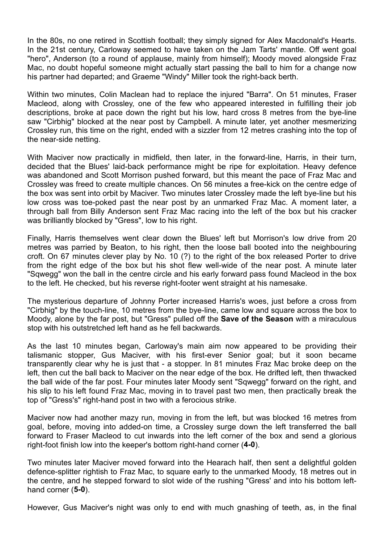In the 80s, no one retired in Scottish football; they simply signed for Alex Macdonald's Hearts. In the 21st century, Carloway seemed to have taken on the Jam Tarts' mantle. Off went goal "hero", Anderson (to a round of applause, mainly from himself); Moody moved alongside Fraz Mac, no doubt hopeful someone might actually start passing the ball to him for a change now his partner had departed; and Graeme "Windy" Miller took the right-back berth.

Within two minutes, Colin Maclean had to replace the injured "Barra". On 51 minutes, Fraser Macleod, along with Crossley, one of the few who appeared interested in fulfilling their job descriptions, broke at pace down the right but his low, hard cross 8 metres from the bye-line saw "Cirbhig" blocked at the near post by Campbell. A minute later, yet another mesmerizing Crossley run, this time on the right, ended with a sizzler from 12 metres crashing into the top of the near-side netting.

With Maciver now practically in midfield, then later, in the forward-line, Harris, in their turn, decided that the Blues' laid-back performance might be ripe for exploitation. Heavy defence was abandoned and Scott Morrison pushed forward, but this meant the pace of Fraz Mac and Crossley was freed to create multiple chances. On 56 minutes a free-kick on the centre edge of the box was sent into orbit by Maciver. Two minutes later Crossley made the left bye-line but his low cross was toe-poked past the near post by an unmarked Fraz Mac. A moment later, a through ball from Billy Anderson sent Fraz Mac racing into the left of the box but his cracker was brilliantly blocked by "Gress", low to his right.

Finally, Harris themselves went clear down the Blues' left but Morrison's low drive from 20 metres was parried by Beaton, to his right, then the loose ball booted into the neighbouring croft. On 67 minutes clever play by No. 10 (?) to the right of the box released Porter to drive from the right edge of the box but his shot flew well-wide of the near post. A minute later "Sqwegg" won the ball in the centre circle and his early forward pass found Macleod in the box to the left. He checked, but his reverse right-footer went straight at his namesake.

The mysterious departure of Johnny Porter increased Harris's woes, just before a cross from "Cirbhig" by the touch-line, 10 metres from the bye-line, came low and square across the box to Moody, alone by the far post, but "Gress" pulled off the **Save of the Season** with a miraculous stop with his outstretched left hand as he fell backwards.

As the last 10 minutes began, Carloway's main aim now appeared to be providing their talismanic stopper, Gus Maciver, with his first-ever Senior goal; but it soon became transparently clear why he is just that - a stopper. In 81 minutes Fraz Mac broke deep on the left, then cut the ball back to Maciver on the near edge of the box. He drifted left, then thwacked the ball wide of the far post. Four minutes later Moody sent "Sqwegg" forward on the right, and his slip to his left found Fraz Mac, moving in to travel past two men, then practically break the top of "Gress's" right-hand post in two with a ferocious strike.

Maciver now had another mazy run, moving in from the left, but was blocked 16 metres from goal, before, moving into added-on time, a Crossley surge down the left transferred the ball forward to Fraser Macleod to cut inwards into the left corner of the box and send a glorious right-foot finish low into the keeper's bottom right-hand corner (**4-0**).

Two minutes later Maciver moved forward into the Hearach half, then sent a delightful golden defence-splitter rightish to Fraz Mac, to square early to the unmarked Moody, 18 metres out in the centre, and he stepped forward to slot wide of the rushing "Gress' and into his bottom lefthand corner (**5-0**).

However, Gus Maciver's night was only to end with much gnashing of teeth, as, in the final